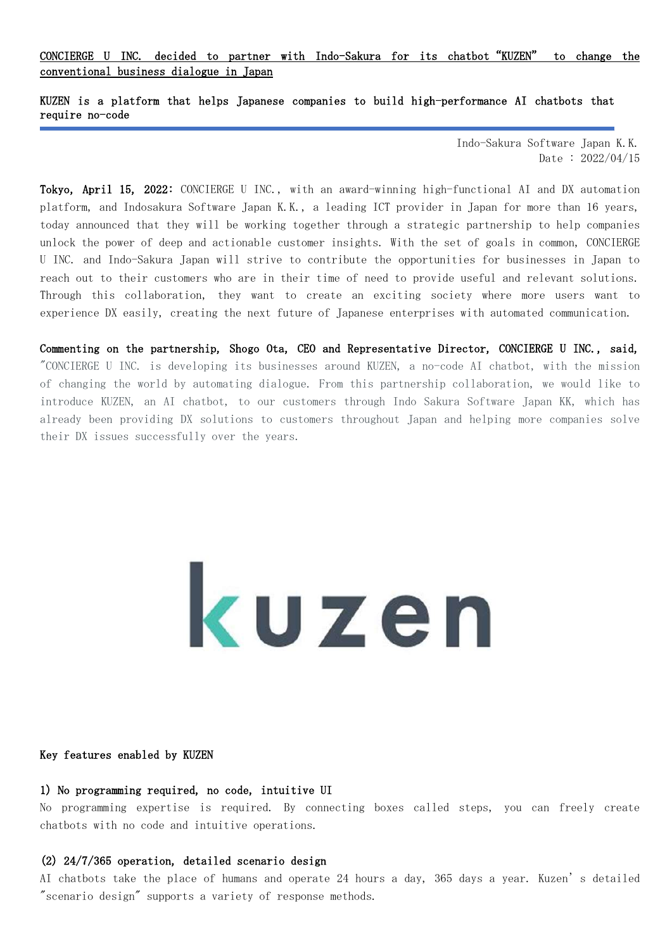CONCIERGE U INC. decided to partner with Indo-Sakura for its chatbot"KUZEN" to change the conventional business dialogue in Japan

KUZEN is a platform that helps Japanese companies to build high-performance AI chatbots that require no-code

> Indo-Sakura Software Japan K.K. Date : 2022/04/15

Tokyo, April 15, 2022: CONCIERGE U INC., with an award-winning high-functional AI and DX automation platform, and Indosakura Software Japan K.K., a leading ICT provider in Japan for more than 16 years, today announced that they will be working together through a strategic partnership to help companies unlock the power of deep and actionable customer insights. With the set of goals in common, CONCIERGE U INC. and Indo-Sakura Japan will strive to contribute the opportunities for businesses in Japan to reach out to their customers who are in their time of need to provide useful and relevant solutions. Through this collaboration, they want to create an exciting society where more users want to experience DX easily, creating the next future of Japanese enterprises with automated communication.

Commenting on the partnership, Shogo Ota, CEO and Representative Director, CONCIERGE U INC., said, "CONCIERGE U INC. is developing its businesses around KUZEN, a no-code AI chatbot, with the mission of changing the world by automating dialogue. From this partnership collaboration, we would like to introduce KUZEN, an AI chatbot, to our customers through Indo Sakura Software Japan KK, which has already been providing DX solutions to customers throughout Japan and helping more companies solve their DX issues successfully over the years.

# kuzen

## Key features enabled by KUZEN

L

### 1) No programming required, no code, intuitive UI

No programming expertise is required. By connecting boxes called steps, you can freely create chatbots with no code and intuitive operations.

# (2) 24/7/365 operation, detailed scenario design

AI chatbots take the place of humans and operate 24 hours a day, 365 days a year. Kuzen's detailed "scenario design" supports a variety of response methods.